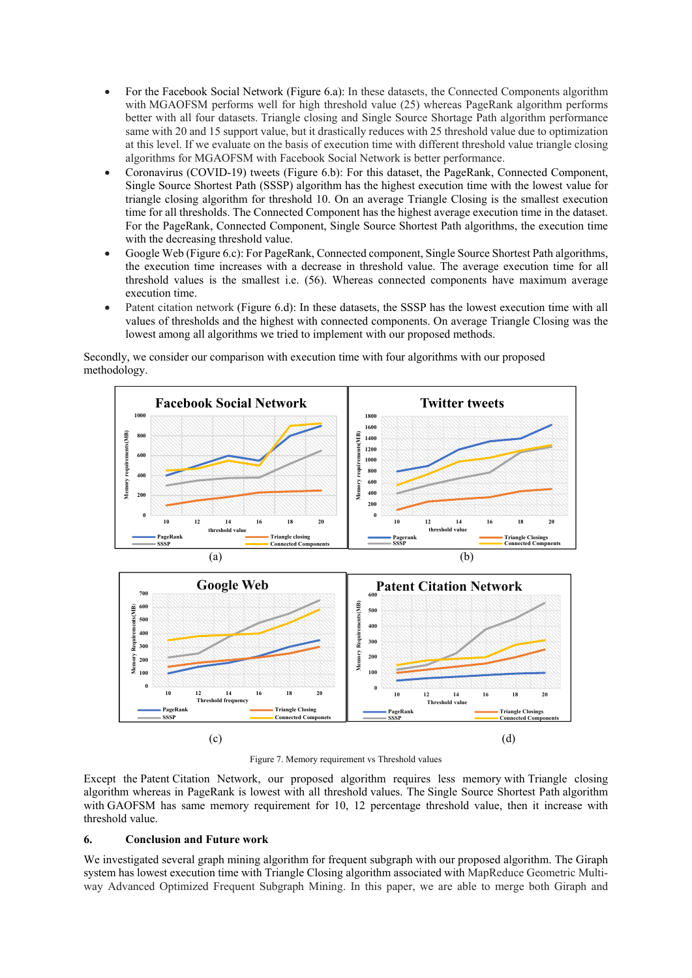- For the Facebook Social Network (Figure 6.a): In these datasets, the Connected Components algorithm with MGAOFSM performs well for high threshold value (25) whereas PageRank algorithm performs better with all four datasets. Triangle closing and Single Source Shortage Path algorithm performance same with 20 and 15 support value, but it drastically reduces with 25 threshold value due to optimization at this level. If we evaluate on the basis of execution time with different threshold value triangle closing algorithms for MGAOFSM with Facebook Social Network is better performance.
- Coronavirus (COVID-19) tweets (Figure 6.b): For this dataset, the PageRank, Connected Component, Single Source Shortest Path (SSSP) algorithm has the highest execution time with the lowest value for triangle closing algorithm for threshold 10. On an average Triangle Closing is the smallest execution time for all thresholds. The Connected Component has the highest average execution time in the dataset. For the PageRank, Connected Component, Single Source Shortest Path algorithms, the execution time with the decreasing threshold value.
- Google Web (Figure 6.c): For PageRank, Connected component, Single Source Shortest Path algorithms, the execution time increases with a decrease in threshold value. The average execution time for all threshold values is the smallest i.e. (56). Whereas connected components have maximum average execution time.
- Patent citation network (Figure 6.d): In these datasets, the SSSP has the lowest execution time with all values of thresholds and the highest with connected components. On average Triangle Closing was the lowest among all algorithms we tried to implement with our proposed methods.

Secondly, we consider our comparison with execution time with four algorithms with our proposed methodology.



Figure 7. Memory requirement vs Threshold values

Except the Patent Citation Network, our proposed algorithm requires less memory with Triangle closing algorithm whereas in PageRank is lowest with all threshold values. The Single Source Shortest Path algorithm with GAOFSM has same memory requirement for 10, 12 percentage threshold value, then it increase with threshold value.

## **6. Conclusion and Future work**

We investigated several graph mining algorithm for frequent subgraph with our proposed algorithm. The Giraph system has lowest execution time with Triangle Closing algorithm associated with MapReduce Geometric Multiway Advanced Optimized Frequent Subgraph Mining. In this paper, we are able to merge both Giraph and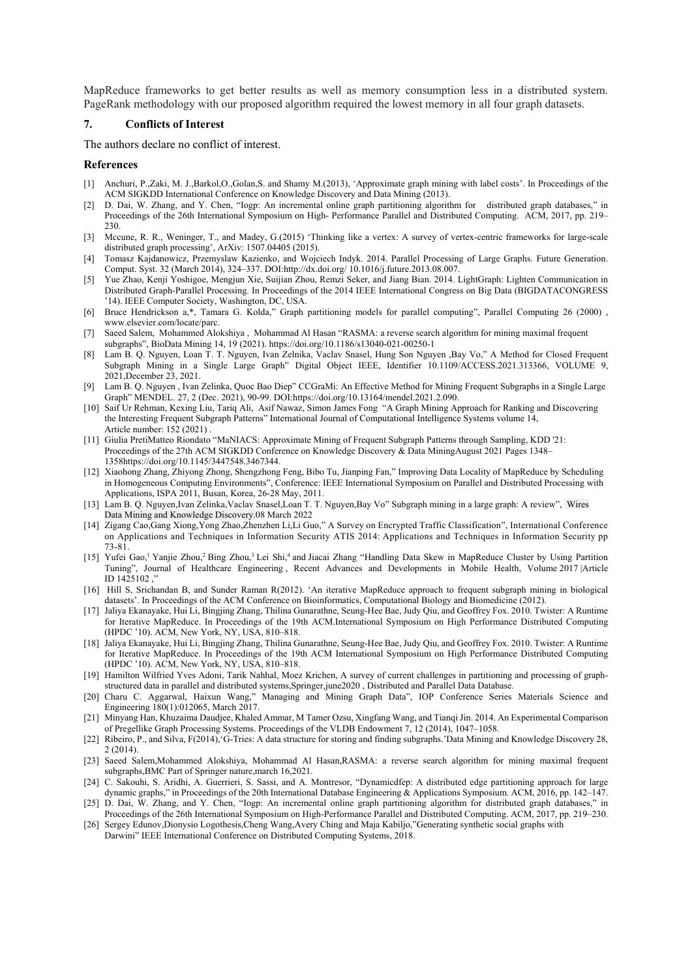MapReduce frameworks to get better results as well as memory consumption less in a distributed system. PageRank methodology with our proposed algorithm required the lowest memory in all four graph datasets.

## **7. Conflicts of Interest**

The authors declare no conflict of interest.

## **References**

- [1] Anchuri, P.,Zaki, M. J.,Barkol,O.,Golan,S. and Shamy M.(2013), 'Approximate graph mining with label costs'. In Proceedings of the ACM SIGKDD International Conference on Knowledge Discovery and Data Mining (2013).
- [2] D. Dai, W. Zhang, and Y. Chen, "Iogp: An incremental online graph partitioning algorithm for distributed graph databases," in Proceedings of the 26th International Symposium on High- Performance Parallel and Distributed Computing. ACM, 2017, pp. 219– 230.
- [3] Mccune, R. R., Weninger, T., and Madey, G.(2015) 'Thinking like a vertex: A survey of vertex-centric frameworks for large-scale distributed graph processing', ArXiv: 1507.04405 (2015).
- [4] Tomasz Kajdanowicz, Przemyslaw Kazienko, and Wojciech Indyk. 2014. Parallel Processing of Large Graphs. Future Generation. Comput. Syst. 32 (March 2014), 324–337. DOI:http://dx.doi.org/ 10.1016/j.future.2013.08.007.
- [5] Yue Zhao, Kenji Yoshigoe, Mengjun Xie, Suijian Zhou, Remzi Seker, and Jiang Bian. 2014. LightGraph: Lighten Communication in Distributed Graph-Parallel Processing. In Proceedings of the 2014 IEEE International Congress on Big Data (BIGDATACONGRESS '14). IEEE Computer Society, Washington, DC, USA.
- [6] Bruce Hendrickson a,\*, Tamara G. Kolda," Graph partitioning models for parallel computing", Parallel Computing 26 (2000) , www.elsevier.com/locate/parc.
- [7] Saeed Salem, Mohammed Alokshiya , Mohammad Al Hasan "RASMA: a reverse search algorithm for mining maximal frequent subgraphs", BioData Mining 14, 19 (2021). https://doi.org/10.1186/s13040-021-00250-1
- [8] Lam B. Q. Nguyen, Loan T. T. Nguyen, Ivan Zelnika, Vaclav Snasel, Hung Son Nguyen ,Bay Vo," A Method for Closed Frequent Subgraph Mining in a Single Large Graph" Digital Object IEEE, Identifier 10.1109/ACCESS.2021.313366, VOLUME 9, 2021,December 23, 2021.
- [9] Lam B. Q. Nguyen , Ivan Zelinka, Quoc Bao Diep" CCGraMi: An Effective Method for Mining Frequent Subgraphs in a Single Large Graph" MENDEL. 27, 2 (Dec. 2021), 90-99. DOI:https://doi.org/10.13164/mendel.2021.2.090.
- [10] Saif Ur Rehman, Kexing Liu, Tariq Ali, Asif Nawaz, Simon James Fong "A Graph Mining Approach for Ranking and Discovering the Interesting Frequent Subgraph Patterns" International Journal of Computational Intelligence Systems volume 14, Article number: 152 (2021) .
- [11] Giulia PretiMatteo Riondato "MaNIACS: Approximate Mining of Frequent Subgraph Patterns through Sampling, KDD '21: Proceedings of the 27th ACM SIGKDD Conference on Knowledge Discovery & Data MiningAugust 2021 Pages 1348– 1358https://doi.org/10.1145/3447548.3467344.
- [12] Xiaohong Zhang, Zhiyong Zhong, Shengzhong Feng, Bibo Tu, Jianping Fan," Improving Data Locality of MapReduce by Scheduling in Homogeneous Computing Environments", Conference: IEEE International Symposium on Parallel and Distributed Processing with Applications, ISPA 2011, Busan, Korea, 26-28 May, 2011.
- [13] Lam B. Q. Nguyen,Ivan Zelinka,Vaclav Snasel,Loan T. T. Nguyen,Bay Vo" Subgraph mining in a large graph: A review", Wires Data Mining and Knowledge Discovery.08 March 2022
- [14] Zigang Cao,Gang Xiong,Yong Zhao,Zhenzhen Li,Li Guo," A Survey on Encrypted Traffic Classification", International Conference on Applications and Techniques in Information Security ATIS 2014: Applications and Techniques in Information Security pp 73-81.
- [15] Yufei Gao,<sup>1</sup> Yanjie Zhou,<sup>2</sup> Bing Zhou,<sup>3</sup> Lei Shi,<sup>4</sup> and Jiacai Zhang "Handling Data Skew in MapReduce Cluster by Using Partition Tuning", Journal of Healthcare Engineering , Recent Advances and Developments in Mobile Health, Volume 2017 |Article ID 1425102 ,"
- [16] Hill S, Srichandan B, and Sunder Raman R(2012). 'An iterative MapReduce approach to frequent subgraph mining in biological datasets'. In Proceedings of the ACM Conference on Bioinformatics, Computational Biology and Biomedicine (2012).
- [17] Jaliya Ekanayake, Hui Li, Bingjing Zhang, Thilina Gunarathne, Seung-Hee Bae, Judy Qiu, and Geoffrey Fox. 2010. Twister: A Runtime for Iterative MapReduce. In Proceedings of the 19th ACM.International Symposium on High Performance Distributed Computing (HPDC '10). ACM, New York, NY, USA, 810–818.
- [18] Jaliya Ekanayake, Hui Li, Bingjing Zhang, Thilina Gunarathne, Seung-Hee Bae, Judy Qiu, and Geoffrey Fox. 2010. Twister: A Runtime for Iterative MapReduce. In Proceedings of the 19th ACM International Symposium on High Performance Distributed Computing (HPDC '10). ACM, New York, NY, USA, 810–818.
- [19] Hamilton Wilfried Yves Adoni, Tarik Nahhal, Moez Krichen, A survey of current challenges in partitioning and processing of graphstructured data in parallel and distributed systems,Springer,june2020 , Distributed and Parallel Data Database.
- [20] Charu C. Aggarwal, Haixun Wang," Managing and Mining Graph Data", IOP Conference Series Materials Science and Engineering 180(1):012065, March 2017.
- [21] Minyang Han, Khuzaima Daudjee, Khaled Ammar, M Tamer Ozsu, Xingfang Wang, and Tianqi Jin. 2014. An Experimental Comparison of Pregellike Graph Processing Systems. Proceedings of the VLDB Endowment 7, 12 (2014), 1047–1058.
- [22] Ribeiro, P., and Silva, F(2014),'G-Tries: A data structure for storing and finding subgraphs.'Data Mining and Knowledge Discovery 28, 2 (2014).
- [23] Saeed Salem,Mohammed Alokshiya, Mohammad Al Hasan,RASMA: a reverse search algorithm for mining maximal frequent subgraphs,BMC Part of Springer nature,march 16,2021.
- [24] C. Sakouhi, S. Aridhi, A. Guerrieri, S. Sassi, and A. Montresor, "Dynamicdfep: A distributed edge partitioning approach for large dynamic graphs," in Proceedings of the 20th International Database Engineering & Applications Symposium. ACM, 2016, pp. 142–147.
- [25] D. Dai, W. Zhang, and Y. Chen, "Iogp: An incremental online graph partitioning algorithm for distributed graph databases," in Proceedings of the 26th International Symposium on High-Performance Parallel and Distributed Computing. ACM, 2017, pp. 219–230.
- [26] Sergey Edunov,Dionysio Logothesis,Cheng Wang,Avery Ching and Maja Kabiljo,"Generating synthetic social graphs with Darwini" IEEE International Conference on Distributed Computing Systems, 2018.